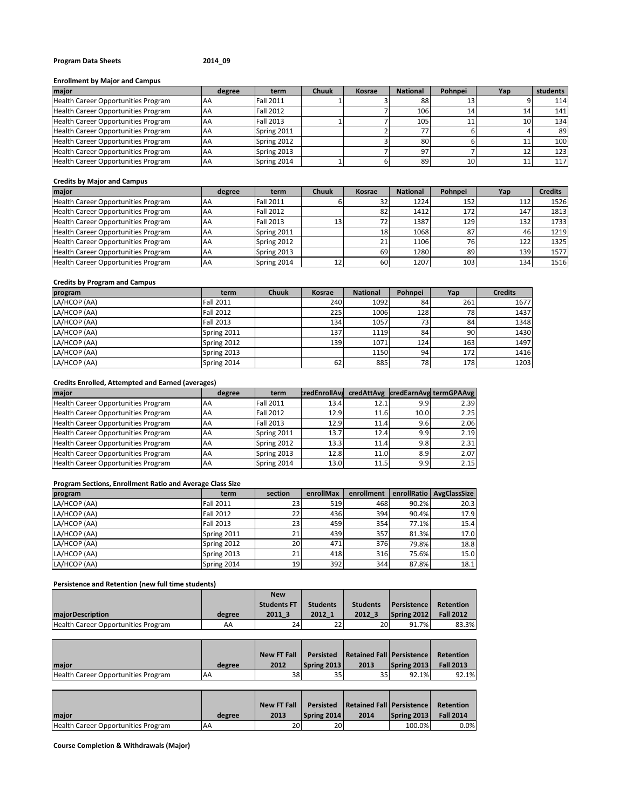# **Program Data Sheets 2014\_09**

#### **Enrollment by Major and Campus**

| major                               | degree | term             | <b>Chuuk</b> | Kosrae | <b>National</b> | Pohnpei | Yap | students |
|-------------------------------------|--------|------------------|--------------|--------|-----------------|---------|-----|----------|
| Health Career Opportunities Program | AA     | <b>Fall 2011</b> |              |        | 88              |         |     | 114      |
| Health Career Opportunities Program | AA     | <b>Fall 2012</b> |              |        | 106             |         | 14  | 141      |
| Health Career Opportunities Program | AA     | <b>Fall 2013</b> |              |        | 105             |         |     | 134      |
| Health Career Opportunities Program | AA     | Spring 2011      |              |        | 77.             |         |     | 89       |
| Health Career Opportunities Program | AA     | Spring 2012      |              |        | 80              |         |     | 100      |
| Health Career Opportunities Program | AA     | Spring 2013      |              |        | 97              |         |     | 123      |
| Health Career Opportunities Program | AA     | Spring 2014      |              |        | 89              | 10      | ⊥.  | 117      |

#### **Credits by Major and Campus**

| major                               | degree    | term             | Chuuk | Kosrae | <b>National</b> | Pohnpei | Yap | <b>Credits</b> |
|-------------------------------------|-----------|------------------|-------|--------|-----------------|---------|-----|----------------|
| Health Career Opportunities Program | <b>AA</b> | <b>Fall 2011</b> |       |        | 1224            | 152     | 112 | 1526           |
| Health Career Opportunities Program | AA        | <b>Fall 2012</b> |       | 82     | 1412            | 172     | 147 | 1813           |
| Health Career Opportunities Program | AA        | <b>Fall 2013</b> | 13    |        | 1387            | 129     | 132 | 1733           |
| Health Career Opportunities Program | <b>AA</b> | Spring 2011      |       | 18     | 1068            | 87      | 46  | 1219           |
| Health Career Opportunities Program | AA        | Spring 2012      |       | 21     | 1106            | 76      | 122 | 1325           |
| Health Career Opportunities Program | AA        | Spring 2013      |       | 69     | 1280            | 89      | 139 | 1577           |
| Health Career Opportunities Program | AA        | Spring 2014      | 1つ    | 60     | 1207            | 103     | 134 | 1516           |

# **Credits by Program and Campus**

| program      | term             | <b>Chuuk</b> | Kosrae | <b>National</b> | Pohnpei         | Yap | <b>Credits</b> |
|--------------|------------------|--------------|--------|-----------------|-----------------|-----|----------------|
| LA/HCOP (AA) | <b>Fall 2011</b> |              | 240    | 1092            | 84              | 261 | 1677           |
| LA/HCOP (AA) | <b>Fall 2012</b> |              | 225    | 1006            | 128             | 78  | 1437           |
| LA/HCOP (AA) | <b>Fall 2013</b> |              | 134    | 1057            | 73 <sub>1</sub> | 84  | 1348           |
| LA/HCOP (AA) | Spring 2011      |              | 137    | 1119            | 84              | 90  | 1430           |
| LA/HCOP (AA) | Spring 2012      |              | 139    | 1071            | 124             | 163 | 1497           |
| LA/HCOP (AA) | Spring 2013      |              |        | 1150            | 94              | 172 | 1416           |
| LA/HCOP (AA) | Spring 2014      |              | 62     | 885             | 78              | 178 | 1203           |

### **Credits Enrolled, Attempted and Earned (averages)**

| maior                               | degree | term             | <b>credEnrollAva</b> |      |      | credAttAvg credEarnAvg termGPAAvg |
|-------------------------------------|--------|------------------|----------------------|------|------|-----------------------------------|
| Health Career Opportunities Program | AA     | <b>Fall 2011</b> | 13.4                 | 12.1 | 9.9  | 2.39                              |
| Health Career Opportunities Program | AA     | <b>Fall 2012</b> | 12.9                 | 11.6 | 10.0 | 2.25                              |
| Health Career Opportunities Program | AA     | <b>Fall 2013</b> | 12.9                 | 11.4 | 9.6  | 2.06                              |
| Health Career Opportunities Program | AA     | Spring 2011      | 13.7                 | 12.4 | 9.9  | 2.19                              |
| Health Career Opportunities Program | AA     | Spring 2012      | 13.3                 | 11.4 | 9.8  | 2.31                              |
| Health Career Opportunities Program | AA     | Spring 2013      | 12.8                 | 11.0 | 8.9  | 2.07                              |
| Health Career Opportunities Program | AA     | Spring 2014      | 13.0                 | 11.5 | 9.9  | 2.15                              |

# **Program Sections, Enrollment Ratio and Average Class Size**

| program      | term             | section   | enrollMax | enrollment |       | enrollRatio AvgClassSize |
|--------------|------------------|-----------|-----------|------------|-------|--------------------------|
| LA/HCOP (AA) | <b>Fall 2011</b> | 23'       | 519       | 468        | 90.2% | 20.3                     |
| LA/HCOP (AA) | <b>Fall 2012</b> | 22        | 436       | 394        | 90.4% | 17.9                     |
| LA/HCOP (AA) | <b>Fall 2013</b> | 23        | 459       | 354        | 77.1% | 15.4                     |
| LA/HCOP (AA) | Spring 2011      | 21        | 439       | 357        | 81.3% | 17.0                     |
| LA/HCOP (AA) | Spring 2012      | <b>20</b> | 471       | 376        | 79.8% | 18.8                     |
| LA/HCOP (AA) | Spring 2013      | 211       | 418       | 316        | 75.6% | 15.0                     |
| LA/HCOP (AA) | Spring 2014      | 19        | 392       | 344        | 87.8% | 18.1                     |

# **Persistence and Retention (new full time students)**

|                                     |        | <b>New</b>         |                 |                 |                    |                  |
|-------------------------------------|--------|--------------------|-----------------|-----------------|--------------------|------------------|
|                                     |        | <b>Students FT</b> | <b>Students</b> | <b>Students</b> | <b>Persistence</b> | Retention        |
| <b>majorDescription</b>             | degree | 2011 3             | 2012 1          | 2012 3          | Spring 2012        | <b>Fall 2012</b> |
| Health Career Opportunities Program | AA     | 24                 | 22              | 20              | 91.7%              | 83.3%            |

|                                     |           | <b>New FT Fall</b> | Persisted   | <b>Retained Fall Persistence</b> |             | Retention        |
|-------------------------------------|-----------|--------------------|-------------|----------------------------------|-------------|------------------|
| maior                               | degree    | 2012               | Spring 2013 | 2013                             | Spring 2013 | <b>Fall 2013</b> |
| Health Career Opportunities Program | <b>AA</b> | 38                 | 35          | 35 <sup>1</sup>                  | 92.1%       | 92.1%            |

|                                     |        | <b>New FT Fall</b> |                 | <b>Persisted Retained Fall Persistence</b> |             | Retention        |
|-------------------------------------|--------|--------------------|-----------------|--------------------------------------------|-------------|------------------|
| maior                               | degree | 2013               | Spring 2014     | 2014                                       | Spring 2013 | <b>Fall 2014</b> |
| Health Career Opportunities Program | AA     | 20                 | 20 <sup>1</sup> |                                            | 100.0%      | $0.0\%$          |

**Course Completion & Withdrawals (Major)**